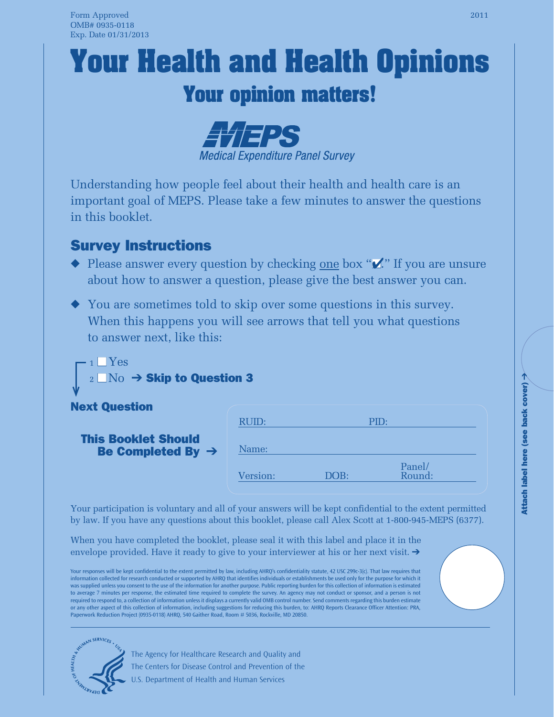# **Your Health and Health Opinions**

# **Your opinion matters!**



Understanding how people feel about their health and health care is an important goal of MEPS. Please take a few minutes to answer the questions in this booklet.

## Survey Instructions

- $\blacklozenge$  Please answer every question by checking <u>one</u> box " $\blacktriangledown$ ." If you are unsure about how to answer a question, please give the best answer you can.
- ◆ You are sometimes told to skip over some questions in this survey. When this happens you will see arrows that tell you what questions to answer next, like this:



#### Next Question

#### This Booklet Should Be Completed By ➔

| RUID:    |      | PID:             |  |
|----------|------|------------------|--|
| Name:    |      |                  |  |
| Version: | DOB: | Panel/<br>Round: |  |

Your participation is voluntary and all of your answers will be kept confidential to the extent permitted by law. If you have any questions about this booklet, please call Alex Scott at 1-800-945-MEPS (6377).

When you have completed the booklet, please seal it with this label and place it in the envelope provided. Have it ready to give to your interviewer at his or her next visit.  $\rightarrow$ 

Your responses will be kept confidential to the extent permitted by law, including AHRQ's confidentiality statute, 42 USC 299c-3(c). That law requires that information collected for research conducted or supported by AHRQ that identifies individuals or establishments be used only for the purpose for which it was supplied unless you consent to the use of the information for another purpose. Public reporting burden for this collection of information is estimated to average 7 minutes per response, the estimated time required to complete the survey. An agency may not conduct or sponsor, and a person is not required to respond to, a collection of information unless it displays a currently valid OMB control number. Send comments regarding this burden estimate or any other aspect of this collection of information, including suggestions for reducing this burden, to: AHRQ Reports Clearance Officer Attention: PRA, Paperwork Reduction Project (0935-0118) AHRQ, 540 Gaither Road, Room # 5036, Rockville, MD 20850.



The Agency for Healthcare Research and Quality and The Centers for Disease Control and Prevention of the U.S. Department of Health and Human Services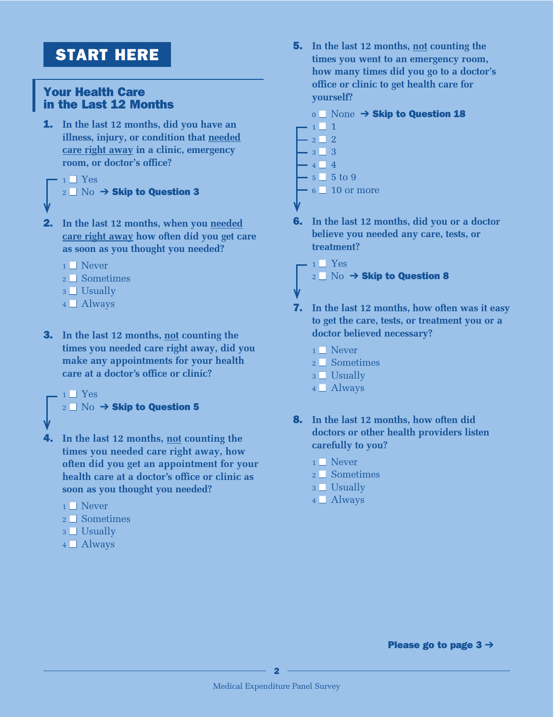## START HERE

#### Your Health Care in the Last 12 Months

1. **In the last 12 months, did you have an illness, injury, or condition that needed care right away in a clinic, emergency room, or doctor's office?**

### $1$  Yes  $_2$  No  $\rightarrow$  Skip to Question 3

- 2. **In the last 12 months, when you needed care right away how often did you get care as soon as you thought you needed?**
	- $1 \square$  Never
	- $2 \square$  Sometimes
	- $3$  Usually
	- $4$   $\Box$  Always
- 3. **In the last 12 months, not counting the times you needed care right away, did you make any appointments for your health care at a doctor's office or clinic?**

```
1 Yes
_2 No \rightarrow Skip to Question 5
```

```
4. In the last 12 months, not counting the 
    times you needed care right away, how 
    often did you get an appointment for your 
    health care at a doctor's office or clinic as 
    soon as you thought you needed?
```
- $1 \square$  Never
- $2 \square$  Sometimes
- $3 \Box$  Usually
- $4 \Box$  Always

5. **In the last 12 months, not counting the times you went to an emergency room, how many times did you go to a doctor's office or clinic to get health care for yourself?**

#### $0$  None  $\rightarrow$  Skip to Question 18

- $1 \square 1$  $2 \square 2$  $3 \square 3$  $4 \square 4$  $5\overline{\phantom{0}}$  5 to 9  $6\Box 10$  or more
- 6. **In the last 12 months, did you or a doctor believe you needed any care, tests, or treatment?**

 $1$   $\sqrt{ }$  Yes  $_2$  No  $\rightarrow$  Skip to Question 8

- 7. **In the last 12 months, how often was it easy to get the care, tests, or treatment you or a doctor believed necessary?**
	- $1 \square$  Never
	- $2 \square$  Sometimes
	- $3$  Usually
	- $4 \Box$  Always
- 8. **In the last 12 months, how often did doctors or other health providers listen carefully to you?**
	- $1 \square$  Never
	- $2 \square$  Sometimes
	- $3$  Usually
	- $4 \Box$  Always

Please go to page  $3 \rightarrow$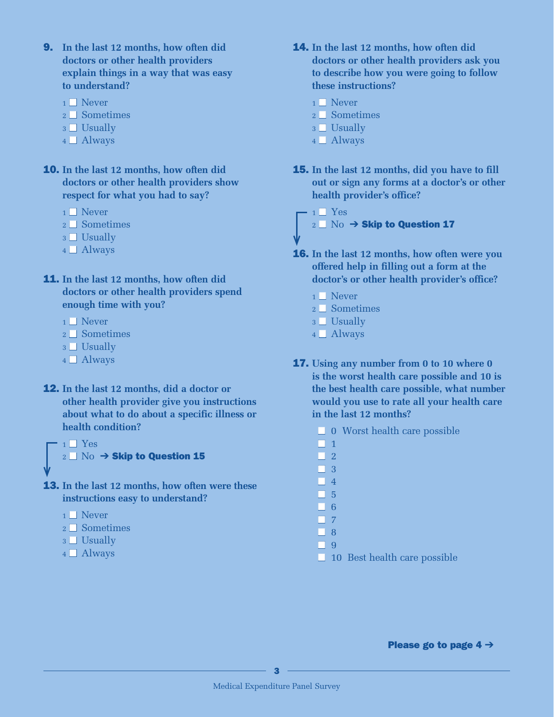- 9. **In the last 12 months, how often did doctors or other health providers explain things in a way that was easy to understand?**
	- $1 \square$  Never
	- 2 Sometimes
	- 3 □ Usually
	- 4 <u>■</u> Always
- 10. **In the last 12 months, how often did doctors or other health providers show respect for what you had to say?**
	- $1 \square$  Never
	- 2 <del>■</del> Sometimes
	- 3 □ Usually
	- 4 <u>■</u> Always
- 11. **In the last 12 months, how often did doctors or other health providers spend enough time with you?**
	- $1 \square$  Never
	- 2 <del>■</del> Sometimes
	- 3 □ Usually
	- $4 \Box$  Always
- 12. **In the last 12 months, did a doctor or other health provider give you instructions about what to do about a specific illness or health condition?**

 $1 \square$  Yes  $_2$   $\Box$   $\rm No$   $\rightarrow$  Skip to Question 15

- 13. **In the last 12 months, how often were these instructions easy to understand?**
	- $1 \square$  Never
	- 2 Sometimes
	- 3 □ Usually
	- 4 <u>■</u> Always
- 14. **In the last 12 months, how often did doctors or other health providers ask you to describe how you were going to follow these instructions?**
	- $1 \square$  Never
	- 2 Sometimes
	- 3 □ Usually
	- 4 <u>■</u> Always
- 15. **In the last 12 months, did you have to fill out or sign any forms at a doctor's or other health provider's office?**

 $1 \square$  Yes  $_2$   $\Box$  No  $\rightarrow$  Skip to Question 17

- 16. **In the last 12 months, how often were you offered help in filling out a form at the doctor's or other health provider's office?**
	- $1 \square$  Never
	- 2 <del>■</del> Sometimes
	- 3 □ Usually
	- 4 <u>■</u> Always
- 17. **Using any number from 0 to 10 where 0 is the worst health care possible and 10 is the best health care possible, what number would you use to rate all your health care in the last 12 months?**
	- 0 Worst health care possible
	- $\Box$  1
	- $\Box$  2
	- $\Box$  3
	- $\Box$  4
	- $\Box$  5
	- $\Box$  6
	- $\Box$  7
	- n 8
	- n 9
	- 10 Best health care possible

Please go to page  $4 \rightarrow$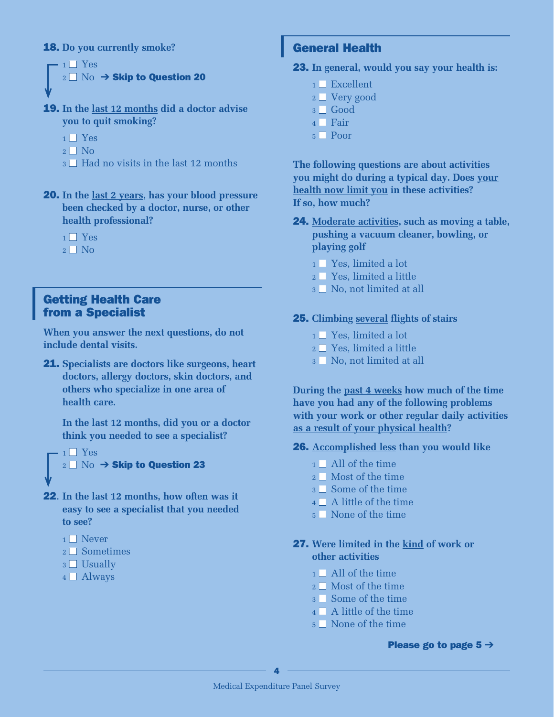#### 18. **Do you currently smoke?**

```
1 \square Yes
_2 \Box No \rightarrow Skip to Question 20
```
19. **In the last 12 months did a doctor advise you to quit smoking?**

- $1 \square$  Yes
- $2 \Box$  No
- $a \Box$  Had no visits in the last 12 months
- 20. **In the last 2 years, has your blood pressure been checked by a doctor, nurse, or other health professional?**
	- $1 \square$  Yes
	- $2 \Box$  No

#### Getting Health Care from a Specialist

**When you answer the next questions, do not include dental visits.**

21. **Specialists are doctors like surgeons, heart doctors, allergy doctors, skin doctors, and others who specialize in one area of health care.**

**In the last 12 months, did you or a doctor think you needed to see a specialist?**

```
1 \square Yes
_2 \Box No \rightarrow Skip to Question 23
```
- 22. **In the last 12 months, how often was it easy to see a specialist that you needed to see?**
	- $1 \square$  Never
	- 2 <del>■</del> Sometimes
	- 3 □ Usually
	- $4 \Box$  Always

#### General Health

#### 23. **In general, would you say your health is:**

- $1 \square$  Excellent
- 2 <u>□</u> Very good
- n 3 Good
- $_4$   $\Box$  Fair
- 5 □ Poor

**The following questions are about activities you might do during a typical day. Does your health now limit you in these activities? If so, how much?**

- 24. **Moderate activities, such as moving a table, pushing a vacuum cleaner, bowling, or playing golf**
	- 1 Yes, limited a lot
	- 2 □ Yes, limited a little
	- 3 No, not limited at all

#### 25. **Climbing several flights of stairs**

- 1 Yes, limited a lot
- $_2$   $\square$  Yes, limited a little
- 3 No, not limited at all

**During the past 4 weeks how much of the time have you had any of the following problems with your work or other regular daily activities as a result of your physical health?**

#### 26. **Accomplished less than you would like**

- $1 \square$  All of the time
- 2 Most of the time
- 3 Some of the time
- 4 A little of the time
- 5 None of the time

#### 27. **Were limited in the kind of work or other activities**

- $1 \square$  All of the time
- 2 Most of the time
- 3 Some of the time
- 4 A little of the time
- 5 None of the time

#### Please go to page  $5 \rightarrow$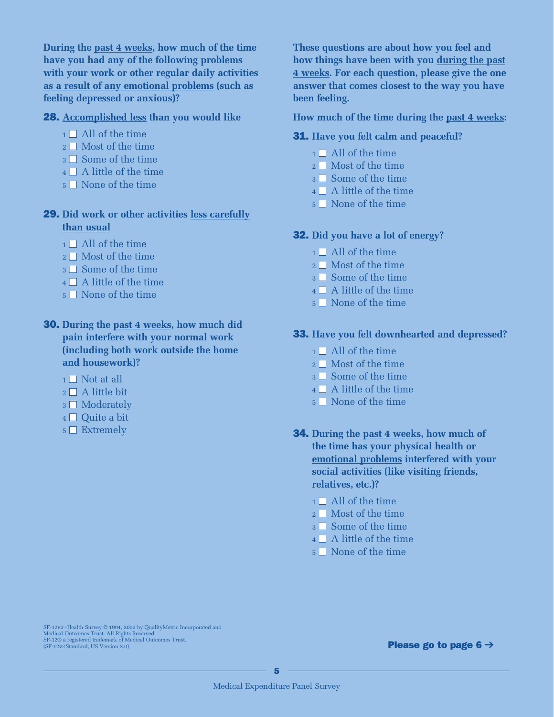**During the past 4 weeks, how much of the time have you had any of the following problems with your work or other regular daily activities as a result of any emotional problems (such as feeling depressed or anxious)?**

#### 28. **Accomplished less than you would like**

- $1 \square$  All of the time
- 2 Most of the time
- 3 Some of the time
- 4 A little of the time
- 5 None of the time

#### 29. **Did work or other activities less carefully than usual**

- $1 \square$  All of the time
- 2 Most of the time
- 3 Some of the time
- 4 A little of the time
- 5 None of the time
- 30. **During the past 4 weeks, how much did pain interfere with your normal work (including both work outside the home and housework)?**
	- $1 \square$  Not at all
	- $2 \square$  A little bit
	- 3  $\square$  Moderately
	- 4 □ Quite a bit
	- $5 \Box$  Extremely

**These questions are about how you feel and how things have been with you during the past 4 weeks. For each question, please give the one answer that comes closest to the way you have been feeling.**

**How much of the time during the past 4 weeks:** 

#### 31. **Have you felt calm and peaceful?**

- $1 \square$  All of the time
- 2 Most of the time
- 3 Some of the time
- 4 A little of the time
- 5 None of the time

#### 32. **Did you have a lot of energy?**

- $1 \square$  All of the time
- 2 Most of the time
- 3 Some of the time
- 4 A little of the time
- 5 None of the time

#### 33. **Have you felt downhearted and depressed?**

- $1 \square$  All of the time
- 2 Most of the time
- 3 Some of the time
- 4 A little of the time
- 5 None of the time
- 34. **During the past 4 weeks, how much of the time has your physical health or emotional problems interfered with your social activities (like visiting friends, relatives, etc.)?**
	- $1 \square$  All of the time
	- 2 Most of the time
	- 3 Some of the time
	- 4 A little of the time
	- 5 None of the time

SF-12v2™Health Survey © 1994, 2002 by QualityMetric Incorporated and<br>Medical Outcomes Trust. All Rights Reserved.<br>SF-12© a registered trademark of Medical Outcomes Trust.<br>(SF-12v2 Standard, US Version 2.0)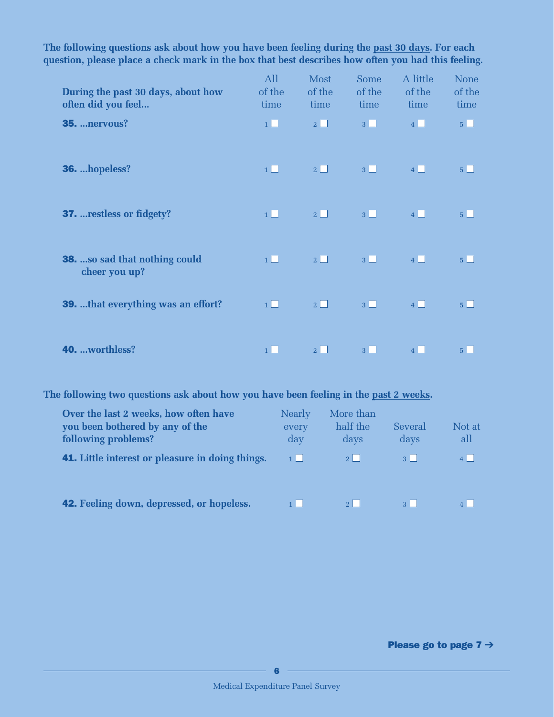| During the past 30 days, about how<br>often did you feel | All<br>of the<br>time | Most<br>of the<br>time | Some<br>of the<br>time | A little<br>of the<br>time | <b>None</b><br>of the<br>time |
|----------------------------------------------------------|-----------------------|------------------------|------------------------|----------------------------|-------------------------------|
| <b>35.  nervous?</b>                                     | $1\Box$               | $2\Box$                | $3\Box$                | $4\Box$                    | $5 \Box$                      |
| 36. hopeless?                                            | $1 \Box$              | $2\Box$                | $3\Box$                | $4$ $\Box$                 | 5 <sub>1</sub>                |
| <b>37.</b> restless or fidgety?                          | $1 \Box$              | $2\Box$                | $3\Box$                | $4\Box$                    | $5\Box$                       |
| <b>38.</b> so sad that nothing could<br>cheer you up?    | $1\Box$               | $2\Box$                | $3\Box$                | $4\Box$                    | $5\Box$                       |
| <b>39.</b> that everything was an effort?                | $1\Box$               | $2\Box$                | $3\Box$                | $4\Box$                    | 5 <sub>1</sub>                |
| 40. worthless?                                           | $1$                   | 2 <sup>1</sup>         | $3 \mid \mid$          | 4                          | 5 <sup>1</sup>                |

**The following questions ask about how you have been feeling during the past 30 days. For each question, please place a check mark in the box that best describes how often you had this feeling.**

**The following two questions ask about how you have been feeling in the past 2 weeks.**

| Over the last 2 weeks, how often have<br>you been bothered by any of the<br>following problems? | Nearly<br>every<br>day | More than<br>half the<br>days | Several<br>days | Not at<br>all |
|-------------------------------------------------------------------------------------------------|------------------------|-------------------------------|-----------------|---------------|
| <b>41.</b> Little interest or pleasure in doing things.                                         | $1$                    | $2 \mid$                      | 3 <sup>1</sup>  |               |
|                                                                                                 |                        |                               |                 |               |
| <b>42.</b> Feeling down, depressed, or hopeless.                                                | $1 \mid$               | 2 <sup>1</sup>                | 3 <sup>1</sup>  |               |

Please go to page  $7 \rightarrow$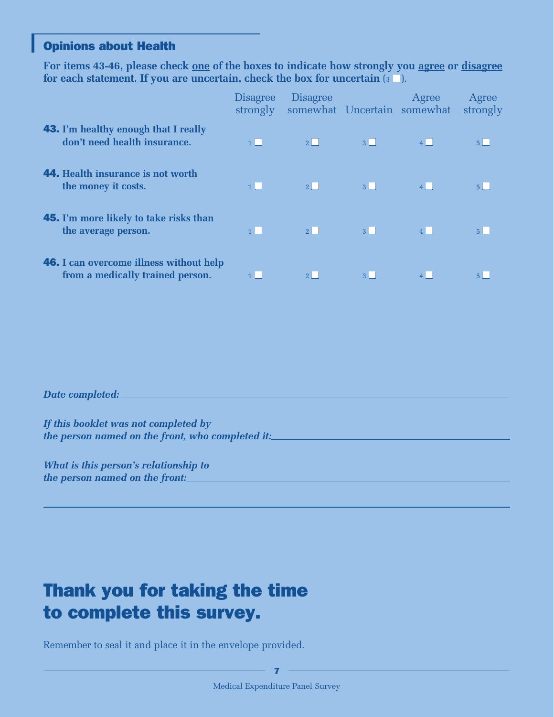#### Opinions about Health

**For items 43-46, please check one of the boxes to indicate how strongly you agree or disagree** for each statement. If you are uncertain, check the box for uncertain  $(s \square)$ .

|                                                                                    | <b>Disagree</b><br>strongly | <b>Disagree</b> | somewhat Uncertain somewhat | Agree     | Agree<br>strongly |
|------------------------------------------------------------------------------------|-----------------------------|-----------------|-----------------------------|-----------|-------------------|
| <b>43.</b> I'm healthy enough that I really<br>don't need health insurance.        | 1                           | $2\parallel$    | 3                           | $\vert$ 4 |                   |
| <b>44.</b> Health insurance is not worth<br>the money it costs.                    | 1                           | 2               | $3 \mid \mid$               | 4         |                   |
| <b>45.</b> I'm more likely to take risks than<br>the average person.               | 1                           | $2\vert$        | 3 <sup>1</sup>              | $\vert$ 4 |                   |
| <b>46.</b> I can overcome illness without help<br>from a medically trained person. |                             |                 | $\mathbf{R}$                |           |                   |

#### *Date completed:*

*If this booklet was not completed by the person named on the front, who completed it:*

*What is this person's relationship to the person named on the front:*

## Thank you for taking the time to complete this survey.

Remember to seal it and place it in the envelope provided.